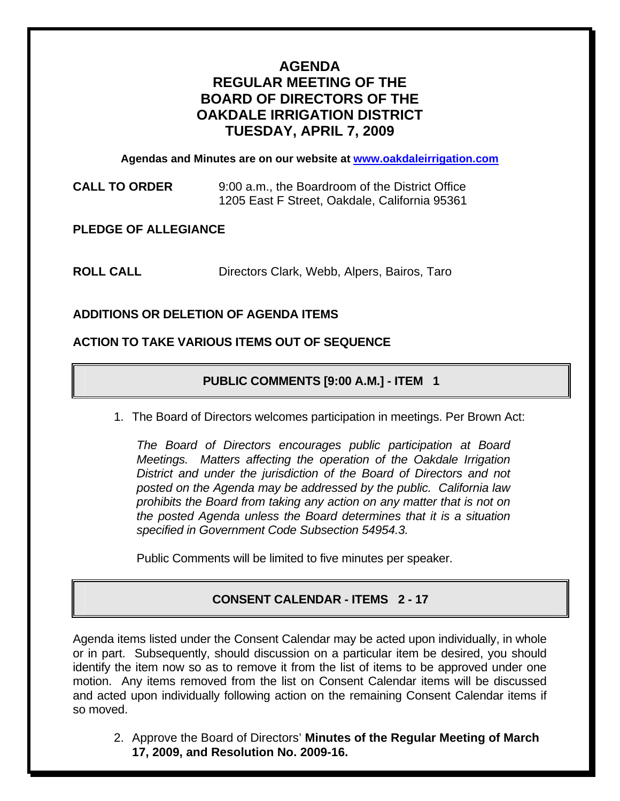# **AGENDA REGULAR MEETING OF THE BOARD OF DIRECTORS OF THE OAKDALE IRRIGATION DISTRICT TUESDAY, APRIL 7, 2009**

**Agendas and Minutes are on our website at www.oakdaleirrigation.com**

**CALL TO ORDER** 9:00 a.m., the Boardroom of the District Office 1205 East F Street, Oakdale, California 95361

**PLEDGE OF ALLEGIANCE** 

**ROLL CALL** Directors Clark, Webb, Alpers, Bairos, Taro

## **ADDITIONS OR DELETION OF AGENDA ITEMS**

### **ACTION TO TAKE VARIOUS ITEMS OUT OF SEQUENCE**

## **PUBLIC COMMENTS [9:00 A.M.] - ITEM 1**

1. The Board of Directors welcomes participation in meetings. Per Brown Act:

*The Board of Directors encourages public participation at Board Meetings. Matters affecting the operation of the Oakdale Irrigation District and under the jurisdiction of the Board of Directors and not posted on the Agenda may be addressed by the public. California law prohibits the Board from taking any action on any matter that is not on the posted Agenda unless the Board determines that it is a situation specified in Government Code Subsection 54954.3.*

Public Comments will be limited to five minutes per speaker.

## **CONSENT CALENDAR - ITEMS 2 - 17**

Agenda items listed under the Consent Calendar may be acted upon individually, in whole or in part. Subsequently, should discussion on a particular item be desired, you should identify the item now so as to remove it from the list of items to be approved under one motion. Any items removed from the list on Consent Calendar items will be discussed and acted upon individually following action on the remaining Consent Calendar items if so moved.

2. Approve the Board of Directors' **Minutes of the Regular Meeting of March 17, 2009, and Resolution No. 2009-16.**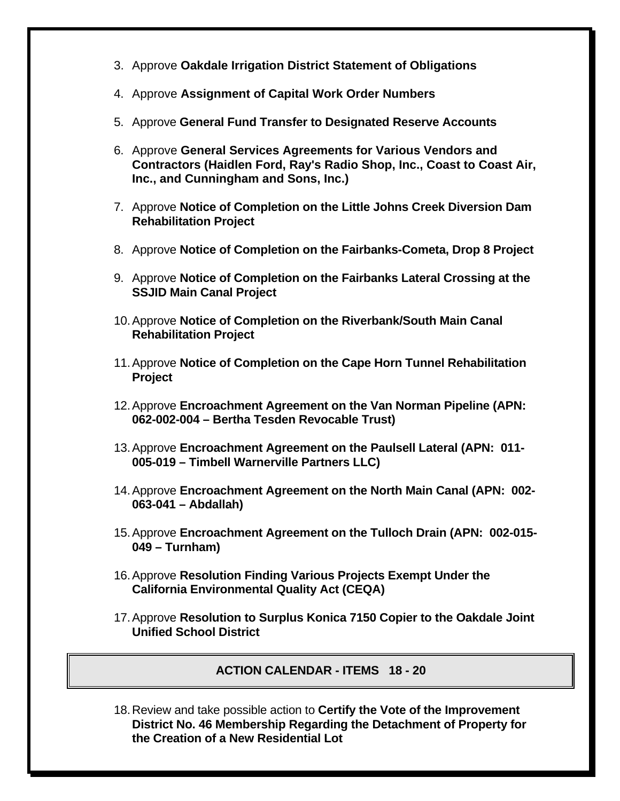- 3. Approve **Oakdale Irrigation District Statement of Obligations**
- 4. Approve **Assignment of Capital Work Order Numbers**
- 5. Approve **General Fund Transfer to Designated Reserve Accounts**
- 6. Approve **General Services Agreements for Various Vendors and Contractors (Haidlen Ford, Ray's Radio Shop, Inc., Coast to Coast Air, Inc., and Cunningham and Sons, Inc.)**
- 7. Approve **Notice of Completion on the Little Johns Creek Diversion Dam Rehabilitation Project**
- 8. Approve **Notice of Completion on the Fairbanks-Cometa, Drop 8 Project**
- 9. Approve **Notice of Completion on the Fairbanks Lateral Crossing at the SSJID Main Canal Project**
- 10. Approve **Notice of Completion on the Riverbank/South Main Canal Rehabilitation Project**
- 11. Approve **Notice of Completion on the Cape Horn Tunnel Rehabilitation Project**
- 12. Approve **Encroachment Agreement on the Van Norman Pipeline (APN: 062-002-004 – Bertha Tesden Revocable Trust)**
- 13. Approve **Encroachment Agreement on the Paulsell Lateral (APN: 011- 005-019 – Timbell Warnerville Partners LLC)**
- 14. Approve **Encroachment Agreement on the North Main Canal (APN: 002- 063-041 – Abdallah)**
- 15. Approve **Encroachment Agreement on the Tulloch Drain (APN: 002-015- 049 – Turnham)**
- 16. Approve **Resolution Finding Various Projects Exempt Under the California Environmental Quality Act (CEQA)**
- 17. Approve **Resolution to Surplus Konica 7150 Copier to the Oakdale Joint Unified School District**

**ACTION CALENDAR - ITEMS 18 - 20** 

18. Review and take possible action to **Certify the Vote of the Improvement District No. 46 Membership Regarding the Detachment of Property for the Creation of a New Residential Lot**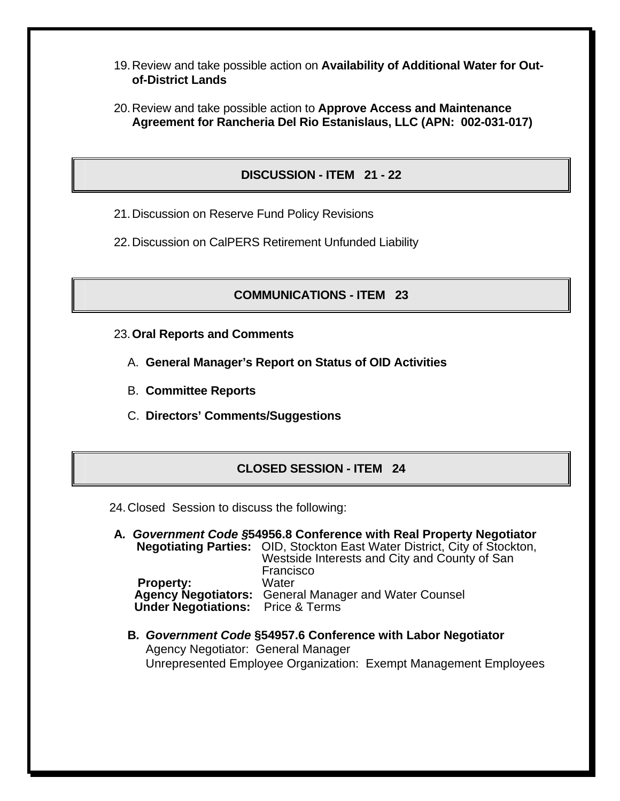- 19. Review and take possible action on **Availability of Additional Water for Outof-District Lands**
- 20. Review and take possible action to **Approve Access and Maintenance Agreement for Rancheria Del Rio Estanislaus, LLC (APN: 002-031-017)**

### **DISCUSSION - ITEM 21 - 22**

- 21. Discussion on Reserve Fund Policy Revisions
- 22. Discussion on CalPERS Retirement Unfunded Liability

#### **COMMUNICATIONS - ITEM 23**

- 23. **Oral Reports and Comments**
	- A. **General Manager's Report on Status of OID Activities**
	- B. **Committee Reports**
	- C. **Directors' Comments/Suggestions**

#### **CLOSED SESSION - ITEM 24**

- 24. Closed Session to discuss the following:
- **A***. Government Code §***54956.8 Conference with Real Property Negotiator Negotiating Parties:** OID, Stockton East Water District, City of Stockton, Westside Interests and City and County of San Francisco **Property:** Water **Agency Negotiators:** General Manager and Water Counsel  **Under Negotiations:** Price & Terms
	- **B***. Government Code* **§54957.6 Conference with Labor Negotiator** Agency Negotiator: General Manager Unrepresented Employee Organization: Exempt Management Employees